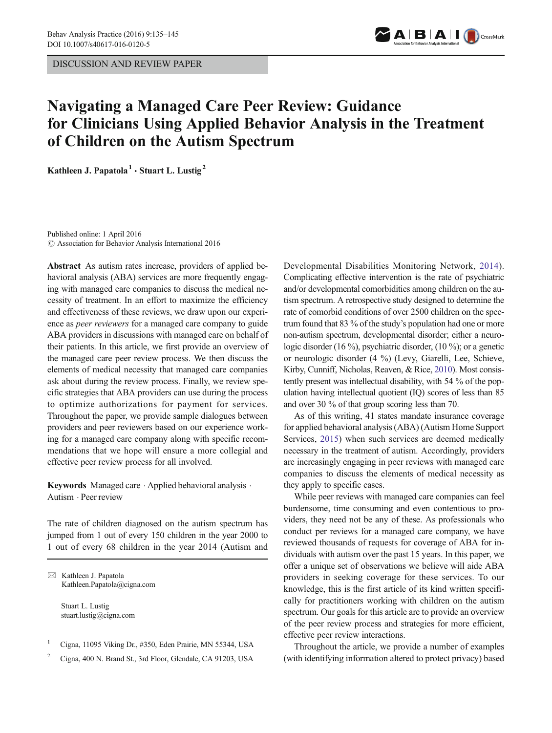DISCUSSION AND REVIEW PAPER



# Navigating a Managed Care Peer Review: Guidance for Clinicians Using Applied Behavior Analysis in the Treatment of Children on the Autism Spectrum

Kathleen J. Papatola<sup>1</sup>  $\cdot$  Stuart L. Lustig<sup>2</sup>

Published online: 1 April 2016  $\odot$  Association for Behavior Analysis International 2016

Abstract As autism rates increase, providers of applied behavioral analysis (ABA) services are more frequently engaging with managed care companies to discuss the medical necessity of treatment. In an effort to maximize the efficiency and effectiveness of these reviews, we draw upon our experience as peer reviewers for a managed care company to guide ABA providers in discussions with managed care on behalf of their patients. In this article, we first provide an overview of the managed care peer review process. We then discuss the elements of medical necessity that managed care companies ask about during the review process. Finally, we review specific strategies that ABA providers can use during the process to optimize authorizations for payment for services. Throughout the paper, we provide sample dialogues between providers and peer reviewers based on our experience working for a managed care company along with specific recommendations that we hope will ensure a more collegial and effective peer review process for all involved.

Keywords Managed care . Applied behavioral analysis . Autism . Peer review

The rate of children diagnosed on the autism spectrum has jumped from 1 out of every 150 children in the year 2000 to 1 out of every 68 children in the year 2014 (Autism and

 $\boxtimes$  Kathleen J. Papatola Kathleen.Papatola@cigna.com

> Stuart L. Lustig stuart.lustig@cigna.com

- <sup>1</sup> Cigna, 11095 Viking Dr., #350, Eden Prairie, MN 55344, USA
- <sup>2</sup> Cigna, 400 N. Brand St., 3rd Floor, Glendale, CA 91203, USA

Developmental Disabilities Monitoring Network, [2014](#page-10-0)). Complicating effective intervention is the rate of psychiatric and/or developmental comorbidities among children on the autism spectrum. A retrospective study designed to determine the rate of comorbid conditions of over 2500 children on the spectrum found that 83 % of the study's population had one or more non-autism spectrum, developmental disorder; either a neurologic disorder (16 %), psychiatric disorder, (10 %); or a genetic or neurologic disorder (4 %) (Levy, Giarelli, Lee, Schieve, Kirby, Cunniff, Nicholas, Reaven, & Rice, [2010](#page-10-0)). Most consistently present was intellectual disability, with 54 % of the population having intellectual quotient (IQ) scores of less than 85 and over 30 % of that group scoring less than 70.

As of this writing, 41 states mandate insurance coverage for applied behavioral analysis (ABA) (Autism Home Support Services, [2015\)](#page-10-0) when such services are deemed medically necessary in the treatment of autism. Accordingly, providers are increasingly engaging in peer reviews with managed care companies to discuss the elements of medical necessity as they apply to specific cases.

While peer reviews with managed care companies can feel burdensome, time consuming and even contentious to providers, they need not be any of these. As professionals who conduct per reviews for a managed care company, we have reviewed thousands of requests for coverage of ABA for individuals with autism over the past 15 years. In this paper, we offer a unique set of observations we believe will aide ABA providers in seeking coverage for these services. To our knowledge, this is the first article of its kind written specifically for practitioners working with children on the autism spectrum. Our goals for this article are to provide an overview of the peer review process and strategies for more efficient, effective peer review interactions.

Throughout the article, we provide a number of examples (with identifying information altered to protect privacy) based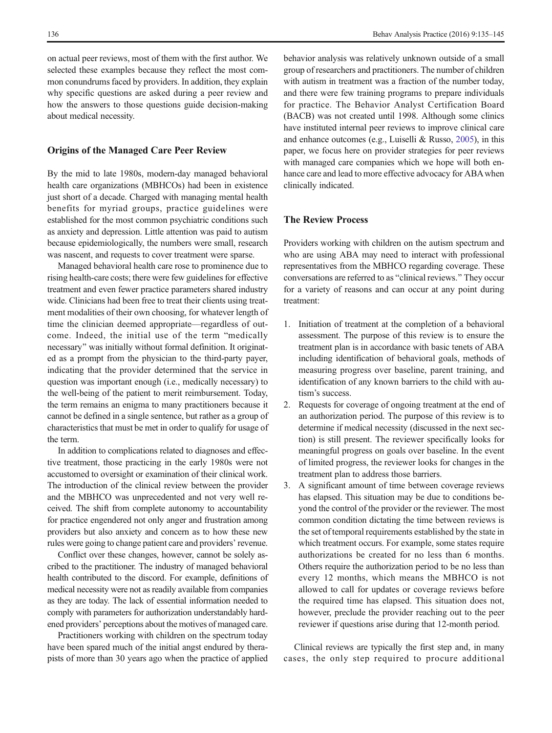on actual peer reviews, most of them with the first author. We selected these examples because they reflect the most common conundrums faced by providers. In addition, they explain why specific questions are asked during a peer review and how the answers to those questions guide decision-making about medical necessity.

## Origins of the Managed Care Peer Review

By the mid to late 1980s, modern-day managed behavioral health care organizations (MBHCOs) had been in existence just short of a decade. Charged with managing mental health benefits for myriad groups, practice guidelines were established for the most common psychiatric conditions such as anxiety and depression. Little attention was paid to autism because epidemiologically, the numbers were small, research was nascent, and requests to cover treatment were sparse.

Managed behavioral health care rose to prominence due to rising health-care costs; there were few guidelines for effective treatment and even fewer practice parameters shared industry wide. Clinicians had been free to treat their clients using treatment modalities of their own choosing, for whatever length of time the clinician deemed appropriate—regardless of outcome. Indeed, the initial use of the term "medically necessary" was initially without formal definition. It originated as a prompt from the physician to the third-party payer, indicating that the provider determined that the service in question was important enough (i.e., medically necessary) to the well-being of the patient to merit reimbursement. Today, the term remains an enigma to many practitioners because it cannot be defined in a single sentence, but rather as a group of characteristics that must be met in order to qualify for usage of the term.

In addition to complications related to diagnoses and effective treatment, those practicing in the early 1980s were not accustomed to oversight or examination of their clinical work. The introduction of the clinical review between the provider and the MBHCO was unprecedented and not very well received. The shift from complete autonomy to accountability for practice engendered not only anger and frustration among providers but also anxiety and concern as to how these new rules were going to change patient care and providers' revenue.

Conflict over these changes, however, cannot be solely ascribed to the practitioner. The industry of managed behavioral health contributed to the discord. For example, definitions of medical necessity were not as readily available from companies as they are today. The lack of essential information needed to comply with parameters for authorization understandably hardened providers' perceptions about the motives of managed care.

Practitioners working with children on the spectrum today have been spared much of the initial angst endured by therapists of more than 30 years ago when the practice of applied

behavior analysis was relatively unknown outside of a small group of researchers and practitioners. The number of children with autism in treatment was a fraction of the number today, and there were few training programs to prepare individuals for practice. The Behavior Analyst Certification Board (BACB) was not created until 1998. Although some clinics have instituted internal peer reviews to improve clinical care and enhance outcomes (e.g., Luiselli & Russo, [2005](#page-10-0)), in this paper, we focus here on provider strategies for peer reviews with managed care companies which we hope will both enhance care and lead to more effective advocacy for ABA when clinically indicated.

## The Review Process

Providers working with children on the autism spectrum and who are using ABA may need to interact with professional representatives from the MBHCO regarding coverage. These conversations are referred to as "clinical reviews." They occur for a variety of reasons and can occur at any point during treatment:

- 1. Initiation of treatment at the completion of a behavioral assessment. The purpose of this review is to ensure the treatment plan is in accordance with basic tenets of ABA including identification of behavioral goals, methods of measuring progress over baseline, parent training, and identification of any known barriers to the child with autism's success.
- 2. Requests for coverage of ongoing treatment at the end of an authorization period. The purpose of this review is to determine if medical necessity (discussed in the next section) is still present. The reviewer specifically looks for meaningful progress on goals over baseline. In the event of limited progress, the reviewer looks for changes in the treatment plan to address those barriers.
- 3. A significant amount of time between coverage reviews has elapsed. This situation may be due to conditions beyond the control of the provider or the reviewer. The most common condition dictating the time between reviews is the set of temporal requirements established by the state in which treatment occurs. For example, some states require authorizations be created for no less than 6 months. Others require the authorization period to be no less than every 12 months, which means the MBHCO is not allowed to call for updates or coverage reviews before the required time has elapsed. This situation does not, however, preclude the provider reaching out to the peer reviewer if questions arise during that 12-month period.

Clinical reviews are typically the first step and, in many cases, the only step required to procure additional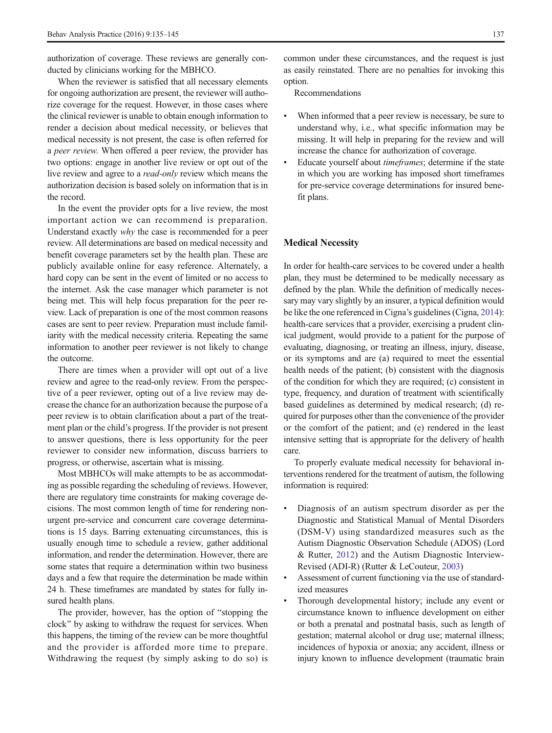authorization of coverage. These reviews are generally conducted by clinicians working for the MBHCO.

When the reviewer is satisfied that all necessary elements for ongoing authorization are present, the reviewer will authorize coverage for the request. However, in those cases where the clinical reviewer is unable to obtain enough information to render a decision about medical necessity, or believes that medical necessity is not present, the case is often referred for a peer review. When offered a peer review, the provider has two options: engage in another live review or opt out of the live review and agree to a read-only review which means the authorization decision is based solely on information that is in the record.

In the event the provider opts for a live review, the most important action we can recommend is preparation. Understand exactly why the case is recommended for a peer review. All determinations are based on medical necessity and benefit coverage parameters set by the health plan. These are publicly available online for easy reference. Alternately, a hard copy can be sent in the event of limited or no access to the internet. Ask the case manager which parameter is not being met. This will help focus preparation for the peer review. Lack of preparation is one of the most common reasons cases are sent to peer review. Preparation must include familiarity with the medical necessity criteria. Repeating the same information to another peer reviewer is not likely to change the outcome.

There are times when a provider will opt out of a live review and agree to the read-only review. From the perspective of a peer reviewer, opting out of a live review may decrease the chance for an authorization because the purpose of a peer review is to obtain clarification about a part of the treatment plan or the child's progress. If the provider is not present to answer questions, there is less opportunity for the peer reviewer to consider new information, discuss barriers to progress, or otherwise, ascertain what is missing.

Most MBHCOs will make attempts to be as accommodating as possible regarding the scheduling of reviews. However, there are regulatory time constraints for making coverage decisions. The most common length of time for rendering nonurgent pre-service and concurrent care coverage determinations is 15 days. Barring extenuating circumstances, this is usually enough time to schedule a review, gather additional information, and render the determination. However, there are some states that require a determination within two business days and a few that require the determination be made within 24 h. These timeframes are mandated by states for fully insured health plans.

The provider, however, has the option of "stopping the clock" by asking to withdraw the request for services. When this happens, the timing of the review can be more thoughtful and the provider is afforded more time to prepare. Withdrawing the request (by simply asking to do so) is

common under these circumstances, and the request is just as easily reinstated. There are no penalties for invoking this option.

Recommendations

- When informed that a peer review is necessary, be sure to understand why, i.e., what specific information may be missing. It will help in preparing for the review and will increase the chance for authorization of coverage.
- Educate yourself about timeframes; determine if the state in which you are working has imposed short timeframes for pre-service coverage determinations for insured benefit plans.

## Medical Necessity

In order for health-care services to be covered under a health plan, they must be determined to be medically necessary as defined by the plan. While the definition of medically necessary may vary slightly by an insurer, a typical definition would be like the one referenced in Cigna's guidelines (Cigna, [2014](#page-10-0)): health-care services that a provider, exercising a prudent clinical judgment, would provide to a patient for the purpose of evaluating, diagnosing, or treating an illness, injury, disease, or its symptoms and are (a) required to meet the essential health needs of the patient; (b) consistent with the diagnosis of the condition for which they are required; (c) consistent in type, frequency, and duration of treatment with scientifically based guidelines as determined by medical research; (d) required for purposes other than the convenience of the provider or the comfort of the patient; and (e) rendered in the least intensive setting that is appropriate for the delivery of health care.

To properly evaluate medical necessity for behavioral interventions rendered for the treatment of autism, the following information is required:

- Diagnosis of an autism spectrum disorder as per the Diagnostic and Statistical Manual of Mental Disorders (DSM-V) using standardized measures such as the Autism Diagnostic Observation Schedule (ADOS) (Lord & Rutter, [2012\)](#page-10-0) and the Autism Diagnostic Interview-Revised (ADI-R) (Rutter & LeCouteur, [2003\)](#page-10-0)
- & Assessment of current functioning via the use of standardized measures
- Thorough developmental history; include any event or circumstance known to influence development on either or both a prenatal and postnatal basis, such as length of gestation; maternal alcohol or drug use; maternal illness; incidences of hypoxia or anoxia; any accident, illness or injury known to influence development (traumatic brain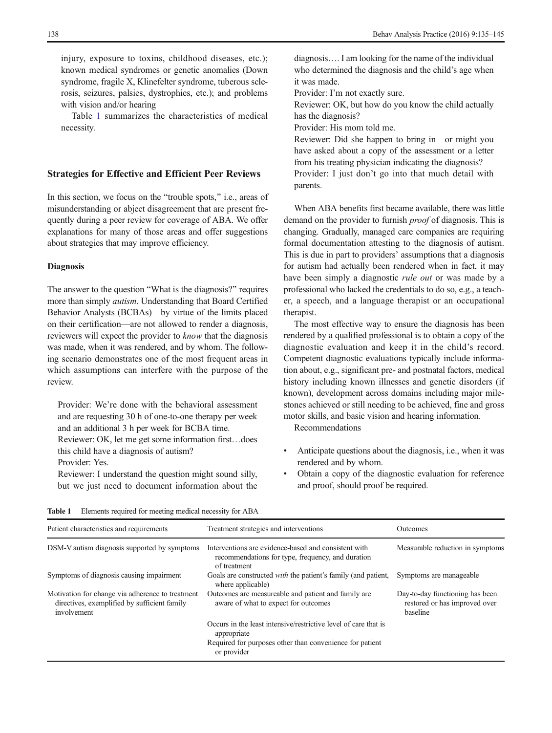injury, exposure to toxins, childhood diseases, etc.); known medical syndromes or genetic anomalies (Down syndrome, fragile X, Klinefelter syndrome, tuberous sclerosis, seizures, palsies, dystrophies, etc.); and problems with vision and/or hearing

Table 1 summarizes the characteristics of medical necessity.

## Strategies for Effective and Efficient Peer Reviews

In this section, we focus on the "trouble spots," i.e., areas of misunderstanding or abject disagreement that are present frequently during a peer review for coverage of ABA. We offer explanations for many of those areas and offer suggestions about strategies that may improve efficiency.

## **Diagnosis**

The answer to the question "What is the diagnosis?" requires more than simply autism. Understanding that Board Certified Behavior Analysts (BCBAs)—by virtue of the limits placed on their certification—are not allowed to render a diagnosis, reviewers will expect the provider to know that the diagnosis was made, when it was rendered, and by whom. The following scenario demonstrates one of the most frequent areas in which assumptions can interfere with the purpose of the review.

Provider: We're done with the behavioral assessment and are requesting 30 h of one-to-one therapy per week and an additional 3 h per week for BCBA time.

Reviewer: OK, let me get some information first…does this child have a diagnosis of autism?

Provider: Yes.

Reviewer: I understand the question might sound silly, but we just need to document information about the diagnosis…. I am looking for the name of the individual who determined the diagnosis and the child's age when it was made.

Provider: I'm not exactly sure.

Reviewer: OK, but how do you know the child actually has the diagnosis?

Provider: His mom told me.

Reviewer: Did she happen to bring in—or might you have asked about a copy of the assessment or a letter from his treating physician indicating the diagnosis? Provider: I just don't go into that much detail with parents.

When ABA benefits first became available, there was little demand on the provider to furnish proof of diagnosis. This is changing. Gradually, managed care companies are requiring formal documentation attesting to the diagnosis of autism. This is due in part to providers' assumptions that a diagnosis for autism had actually been rendered when in fact, it may have been simply a diagnostic rule out or was made by a professional who lacked the credentials to do so, e.g., a teacher, a speech, and a language therapist or an occupational therapist.

The most effective way to ensure the diagnosis has been rendered by a qualified professional is to obtain a copy of the diagnostic evaluation and keep it in the child's record. Competent diagnostic evaluations typically include information about, e.g., significant pre- and postnatal factors, medical history including known illnesses and genetic disorders (if known), development across domains including major milestones achieved or still needing to be achieved, fine and gross motor skills, and basic vision and hearing information.

Recommendations

- & Anticipate questions about the diagnosis, i.e., when it was rendered and by whom.
- & Obtain a copy of the diagnostic evaluation for reference and proof, should proof be required.

Table 1 Elements required for meeting medical necessity for ABA

| Patient characteristics and requirements                                                                        | Treatment strategies and interventions                                                                                                                    | <b>Outcomes</b>                                                              |
|-----------------------------------------------------------------------------------------------------------------|-----------------------------------------------------------------------------------------------------------------------------------------------------------|------------------------------------------------------------------------------|
| DSM-V autism diagnosis supported by symptoms                                                                    | Interventions are evidence-based and consistent with<br>recommendations for type, frequency, and duration<br>of treatment                                 | Measurable reduction in symptoms                                             |
| Symptoms of diagnosis causing impairment                                                                        | Goals are constructed <i>with</i> the patient's family (and patient,<br>where applicable)                                                                 | Symptoms are manageable                                                      |
| Motivation for change via adherence to treatment<br>directives, exemplified by sufficient family<br>involvement | Outcomes are measureable and patient and family are<br>aware of what to expect for outcomes                                                               | Day-to-day functioning has been<br>restored or has improved over<br>baseline |
|                                                                                                                 | Occurs in the least intensive/restrictive level of care that is<br>appropriate<br>Required for purposes other than convenience for patient<br>or provider |                                                                              |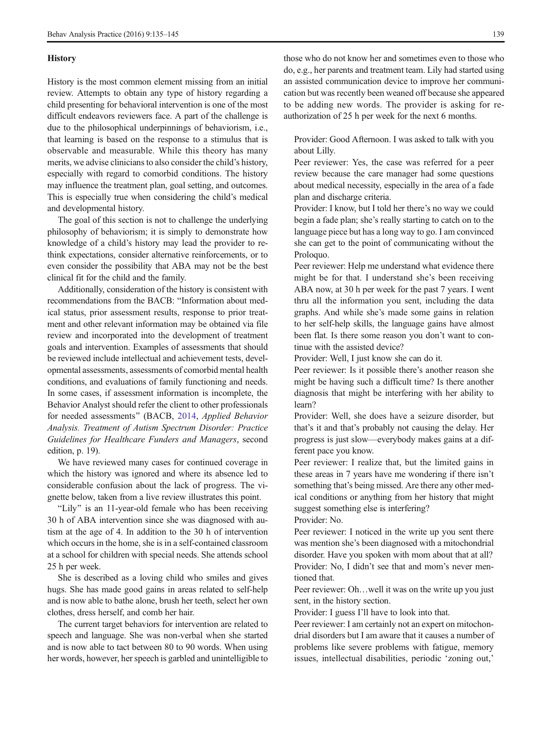## **History**

History is the most common element missing from an initial review. Attempts to obtain any type of history regarding a child presenting for behavioral intervention is one of the most difficult endeavors reviewers face. A part of the challenge is due to the philosophical underpinnings of behaviorism, i.e., that learning is based on the response to a stimulus that is observable and measurable. While this theory has many merits, we advise clinicians to also consider the child's history, especially with regard to comorbid conditions. The history may influence the treatment plan, goal setting, and outcomes. This is especially true when considering the child's medical and developmental history.

The goal of this section is not to challenge the underlying philosophy of behaviorism; it is simply to demonstrate how knowledge of a child's history may lead the provider to rethink expectations, consider alternative reinforcements, or to even consider the possibility that ABA may not be the best clinical fit for the child and the family.

Additionally, consideration of the history is consistent with recommendations from the BACB: "Information about medical status, prior assessment results, response to prior treatment and other relevant information may be obtained via file review and incorporated into the development of treatment goals and intervention. Examples of assessments that should be reviewed include intellectual and achievement tests, developmental assessments, assessments of comorbid mental health conditions, and evaluations of family functioning and needs. In some cases, if assessment information is incomplete, the Behavior Analyst should refer the client to other professionals for needed assessments" (BACB, [2014,](#page-10-0) Applied Behavior Analysis. Treatment of Autism Spectrum Disorder: Practice Guidelines for Healthcare Funders and Managers, second edition, p. 19).

We have reviewed many cases for continued coverage in which the history was ignored and where its absence led to considerable confusion about the lack of progress. The vignette below, taken from a live review illustrates this point.

"Lily" is an 11-year-old female who has been receiving 30 h of ABA intervention since she was diagnosed with autism at the age of 4. In addition to the 30 h of intervention which occurs in the home, she is in a self-contained classroom at a school for children with special needs. She attends school 25 h per week.

She is described as a loving child who smiles and gives hugs. She has made good gains in areas related to self-help and is now able to bathe alone, brush her teeth, select her own clothes, dress herself, and comb her hair.

The current target behaviors for intervention are related to speech and language. She was non-verbal when she started and is now able to tact between 80 to 90 words. When using her words, however, her speech is garbled and unintelligible to

those who do not know her and sometimes even to those who do, e.g., her parents and treatment team. Lily had started using an assisted communication device to improve her communication but was recently been weaned off because she appeared to be adding new words. The provider is asking for reauthorization of 25 h per week for the next 6 months.

Provider: Good Afternoon. I was asked to talk with you about Lilly.

Peer reviewer: Yes, the case was referred for a peer review because the care manager had some questions about medical necessity, especially in the area of a fade plan and discharge criteria.

Provider: I know, but I told her there's no way we could begin a fade plan; she's really starting to catch on to the language piece but has a long way to go. I am convinced she can get to the point of communicating without the Proloquo.

Peer reviewer: Help me understand what evidence there might be for that. I understand she's been receiving ABA now, at 30 h per week for the past 7 years. I went thru all the information you sent, including the data graphs. And while she's made some gains in relation to her self-help skills, the language gains have almost been flat. Is there some reason you don't want to continue with the assisted device?

Provider: Well, I just know she can do it.

Peer reviewer: Is it possible there's another reason she might be having such a difficult time? Is there another diagnosis that might be interfering with her ability to learn?

Provider: Well, she does have a seizure disorder, but that's it and that's probably not causing the delay. Her progress is just slow—everybody makes gains at a different pace you know.

Peer reviewer: I realize that, but the limited gains in these areas in 7 years have me wondering if there isn't something that's being missed. Are there any other medical conditions or anything from her history that might suggest something else is interfering?

Provider: No.

Peer reviewer: I noticed in the write up you sent there was mention she's been diagnosed with a mitochondrial disorder. Have you spoken with mom about that at all? Provider: No, I didn't see that and mom's never mentioned that.

Peer reviewer: Oh…well it was on the write up you just sent, in the history section.

Provider: I guess I'll have to look into that.

Peer reviewer: I am certainly not an expert on mitochondrial disorders but I am aware that it causes a number of problems like severe problems with fatigue, memory issues, intellectual disabilities, periodic 'zoning out,'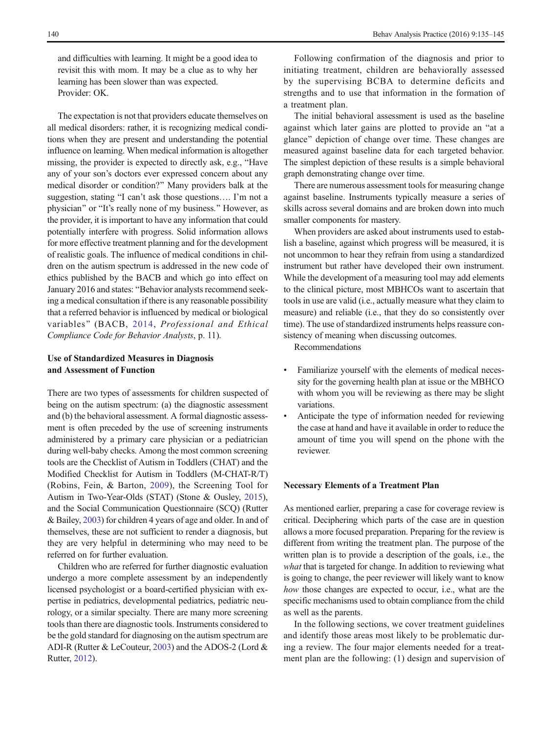and difficulties with learning. It might be a good idea to revisit this with mom. It may be a clue as to why her learning has been slower than was expected. Provider: OK.

The expectation is not that providers educate themselves on all medical disorders: rather, it is recognizing medical conditions when they are present and understanding the potential influence on learning. When medical information is altogether missing, the provider is expected to directly ask, e.g., "Have any of your son's doctors ever expressed concern about any medical disorder or condition?^ Many providers balk at the suggestion, stating "I can't ask those questions.... I'm not a physician" or "It's really none of my business." However, as the provider, it is important to have any information that could potentially interfere with progress. Solid information allows for more effective treatment planning and for the development of realistic goals. The influence of medical conditions in children on the autism spectrum is addressed in the new code of ethics published by the BACB and which go into effect on January 2016 and states: "Behavior analysts recommend seeking a medical consultation if there is any reasonable possibility that a referred behavior is influenced by medical or biological variables" (BACB, [2014,](#page-10-0) Professional and Ethical Compliance Code for Behavior Analysts, p. 11).

## Use of Standardized Measures in Diagnosis and Assessment of Function

There are two types of assessments for children suspected of being on the autism spectrum: (a) the diagnostic assessment and (b) the behavioral assessment. A formal diagnostic assessment is often preceded by the use of screening instruments administered by a primary care physician or a pediatrician during well-baby checks. Among the most common screening tools are the Checklist of Autism in Toddlers (CHAT) and the Modified Checklist for Autism in Toddlers (M-CHAT-R/T) (Robins, Fein, & Barton, [2009\)](#page-10-0), the Screening Tool for Autism in Two-Year-Olds (STAT) (Stone & Ousley, [2015](#page-10-0)), and the Social Communication Questionnaire (SCQ) (Rutter & Bailey, [2003](#page-10-0)) for children 4 years of age and older. In and of themselves, these are not sufficient to render a diagnosis, but they are very helpful in determining who may need to be referred on for further evaluation.

Children who are referred for further diagnostic evaluation undergo a more complete assessment by an independently licensed psychologist or a board-certified physician with expertise in pediatrics, developmental pediatrics, pediatric neurology, or a similar specialty. There are many more screening tools than there are diagnostic tools. Instruments considered to be the gold standard for diagnosing on the autism spectrum are ADI-R (Rutter & LeCouteur, [2003\)](#page-10-0) and the ADOS-2 (Lord & Rutter, [2012](#page-10-0)).

Following confirmation of the diagnosis and prior to initiating treatment, children are behaviorally assessed by the supervising BCBA to determine deficits and strengths and to use that information in the formation of a treatment plan.

The initial behavioral assessment is used as the baseline against which later gains are plotted to provide an "at a glance" depiction of change over time. These changes are measured against baseline data for each targeted behavior. The simplest depiction of these results is a simple behavioral graph demonstrating change over time.

There are numerous assessment tools for measuring change against baseline. Instruments typically measure a series of skills across several domains and are broken down into much smaller components for mastery.

When providers are asked about instruments used to establish a baseline, against which progress will be measured, it is not uncommon to hear they refrain from using a standardized instrument but rather have developed their own instrument. While the development of a measuring tool may add elements to the clinical picture, most MBHCOs want to ascertain that tools in use are valid (i.e., actually measure what they claim to measure) and reliable (i.e., that they do so consistently over time). The use of standardized instruments helps reassure consistency of meaning when discussing outcomes.

Recommendations

- & Familiarize yourself with the elements of medical necessity for the governing health plan at issue or the MBHCO with whom you will be reviewing as there may be slight variations.
- & Anticipate the type of information needed for reviewing the case at hand and have it available in order to reduce the amount of time you will spend on the phone with the reviewer.

## Necessary Elements of a Treatment Plan

As mentioned earlier, preparing a case for coverage review is critical. Deciphering which parts of the case are in question allows a more focused preparation. Preparing for the review is different from writing the treatment plan. The purpose of the written plan is to provide a description of the goals, i.e., the what that is targeted for change. In addition to reviewing what is going to change, the peer reviewer will likely want to know how those changes are expected to occur, i.e., what are the specific mechanisms used to obtain compliance from the child as well as the parents.

In the following sections, we cover treatment guidelines and identify those areas most likely to be problematic during a review. The four major elements needed for a treatment plan are the following: (1) design and supervision of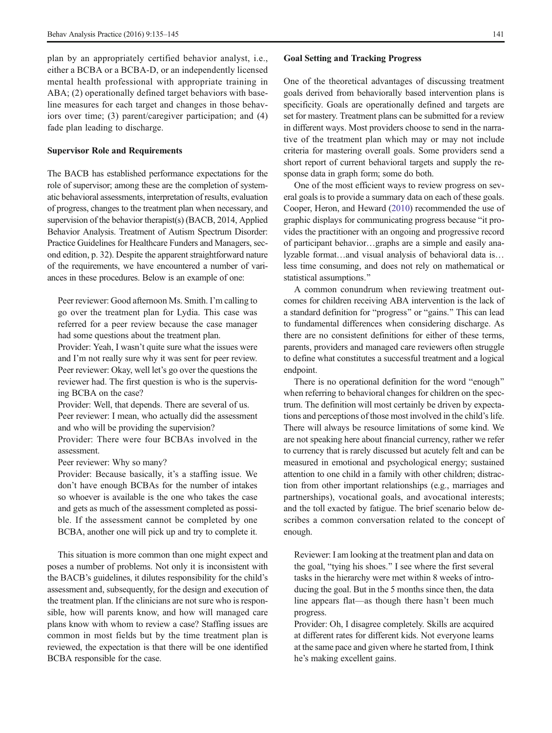plan by an appropriately certified behavior analyst, i.e., either a BCBA or a BCBA-D, or an independently licensed mental health professional with appropriate training in ABA; (2) operationally defined target behaviors with baseline measures for each target and changes in those behaviors over time; (3) parent/caregiver participation; and (4) fade plan leading to discharge.

### Supervisor Role and Requirements

The BACB has established performance expectations for the role of supervisor; among these are the completion of systematic behavioral assessments, interpretation of results, evaluation of progress, changes to the treatment plan when necessary, and supervision of the behavior therapist(s) (BACB, 2014, Applied Behavior Analysis. Treatment of Autism Spectrum Disorder: Practice Guidelines for Healthcare Funders and Managers, second edition, p. 32). Despite the apparent straightforward nature of the requirements, we have encountered a number of variances in these procedures. Below is an example of one:

Peer reviewer: Good afternoon Ms. Smith. I'm calling to go over the treatment plan for Lydia. This case was referred for a peer review because the case manager had some questions about the treatment plan.

Provider: Yeah, I wasn't quite sure what the issues were and I'm not really sure why it was sent for peer review. Peer reviewer: Okay, well let's go over the questions the reviewer had. The first question is who is the supervising BCBA on the case?

Provider: Well, that depends. There are several of us. Peer reviewer: I mean, who actually did the assessment and who will be providing the supervision?

Provider: There were four BCBAs involved in the assessment.

Peer reviewer: Why so many?

Provider: Because basically, it's a staffing issue. We don't have enough BCBAs for the number of intakes so whoever is available is the one who takes the case and gets as much of the assessment completed as possible. If the assessment cannot be completed by one BCBA, another one will pick up and try to complete it.

This situation is more common than one might expect and poses a number of problems. Not only it is inconsistent with the BACB's guidelines, it dilutes responsibility for the child's assessment and, subsequently, for the design and execution of the treatment plan. If the clinicians are not sure who is responsible, how will parents know, and how will managed care plans know with whom to review a case? Staffing issues are common in most fields but by the time treatment plan is reviewed, the expectation is that there will be one identified BCBA responsible for the case.

### Goal Setting and Tracking Progress

One of the theoretical advantages of discussing treatment goals derived from behaviorally based intervention plans is specificity. Goals are operationally defined and targets are set for mastery. Treatment plans can be submitted for a review in different ways. Most providers choose to send in the narrative of the treatment plan which may or may not include criteria for mastering overall goals. Some providers send a short report of current behavioral targets and supply the response data in graph form; some do both.

One of the most efficient ways to review progress on several goals is to provide a summary data on each of these goals. Cooper, Heron, and Heward ([2010](#page-10-0)) recommended the use of graphic displays for communicating progress because "it provides the practitioner with an ongoing and progressive record of participant behavior…graphs are a simple and easily analyzable format…and visual analysis of behavioral data is… less time consuming, and does not rely on mathematical or statistical assumptions."

A common conundrum when reviewing treatment outcomes for children receiving ABA intervention is the lack of a standard definition for "progress" or "gains." This can lead to fundamental differences when considering discharge. As there are no consistent definitions for either of these terms, parents, providers and managed care reviewers often struggle to define what constitutes a successful treatment and a logical endpoint.

There is no operational definition for the word "enough" when referring to behavioral changes for children on the spectrum. The definition will most certainly be driven by expectations and perceptions of those most involved in the child's life. There will always be resource limitations of some kind. We are not speaking here about financial currency, rather we refer to currency that is rarely discussed but acutely felt and can be measured in emotional and psychological energy; sustained attention to one child in a family with other children; distraction from other important relationships (e.g., marriages and partnerships), vocational goals, and avocational interests; and the toll exacted by fatigue. The brief scenario below describes a common conversation related to the concept of enough.

Reviewer: I am looking at the treatment plan and data on the goal, "tying his shoes." I see where the first several tasks in the hierarchy were met within 8 weeks of introducing the goal. But in the 5 months since then, the data line appears flat—as though there hasn't been much progress.

Provider: Oh, I disagree completely. Skills are acquired at different rates for different kids. Not everyone learns at the same pace and given where he started from, I think he's making excellent gains.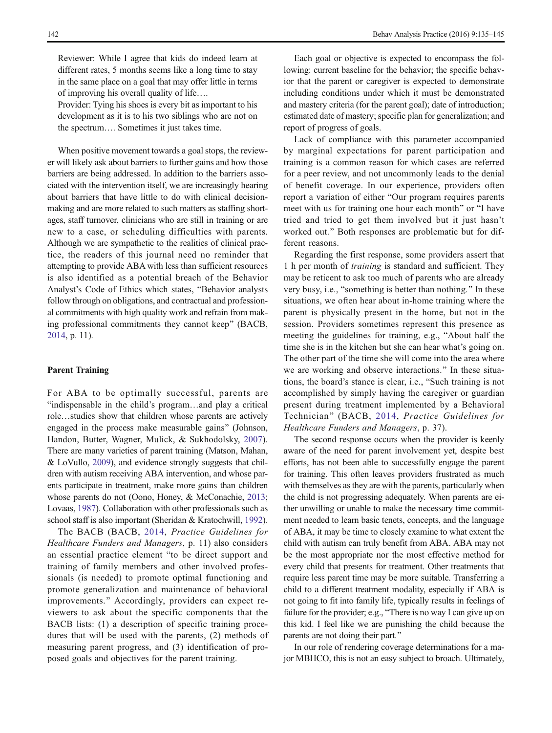Reviewer: While I agree that kids do indeed learn at different rates, 5 months seems like a long time to stay in the same place on a goal that may offer little in terms of improving his overall quality of life….

Provider: Tying his shoes is every bit as important to his development as it is to his two siblings who are not on the spectrum…. Sometimes it just takes time.

When positive movement towards a goal stops, the reviewer will likely ask about barriers to further gains and how those barriers are being addressed. In addition to the barriers associated with the intervention itself, we are increasingly hearing about barriers that have little to do with clinical decisionmaking and are more related to such matters as staffing shortages, staff turnover, clinicians who are still in training or are new to a case, or scheduling difficulties with parents. Although we are sympathetic to the realities of clinical practice, the readers of this journal need no reminder that attempting to provide ABA with less than sufficient resources is also identified as a potential breach of the Behavior Analyst's Code of Ethics which states, "Behavior analysts" follow through on obligations, and contractual and professional commitments with high quality work and refrain from making professional commitments they cannot keep^ (BACB, [2014,](#page-10-0) p. 11).

#### Parent Training

For ABA to be optimally successful, parents are "indispensable in the child's program...and play a critical role…studies show that children whose parents are actively engaged in the process make measurable gains^ (Johnson, Handon, Butter, Wagner, Mulick, & Sukhodolsky, [2007](#page-10-0)). There are many varieties of parent training (Matson, Mahan, & LoVullo, [2009](#page-10-0)), and evidence strongly suggests that children with autism receiving ABA intervention, and whose parents participate in treatment, make more gains than children whose parents do not (Oono, Honey, & McConachie, [2013](#page-10-0); Lovaas, [1987](#page-10-0)). Collaboration with other professionals such as school staff is also important (Sheridan & Kratochwill, [1992\)](#page-10-0).

The BACB (BACB, [2014,](#page-10-0) Practice Guidelines for Healthcare Funders and Managers, p. 11) also considers an essential practice element "to be direct support and training of family members and other involved professionals (is needed) to promote optimal functioning and promote generalization and maintenance of behavioral improvements." Accordingly, providers can expect reviewers to ask about the specific components that the BACB lists: (1) a description of specific training procedures that will be used with the parents, (2) methods of measuring parent progress, and (3) identification of proposed goals and objectives for the parent training.

Each goal or objective is expected to encompass the following: current baseline for the behavior; the specific behavior that the parent or caregiver is expected to demonstrate including conditions under which it must be demonstrated and mastery criteria (for the parent goal); date of introduction; estimated date of mastery; specific plan for generalization; and report of progress of goals.

Lack of compliance with this parameter accompanied by marginal expectations for parent participation and training is a common reason for which cases are referred for a peer review, and not uncommonly leads to the denial of benefit coverage. In our experience, providers often report a variation of either "Our program requires parents meet with us for training one hour each month" or "I have tried and tried to get them involved but it just hasn't worked out." Both responses are problematic but for different reasons.

Regarding the first response, some providers assert that 1 h per month of training is standard and sufficient. They may be reticent to ask too much of parents who are already very busy, i.e., "something is better than nothing." In these situations, we often hear about in-home training where the parent is physically present in the home, but not in the session. Providers sometimes represent this presence as meeting the guidelines for training, e.g., "About half the time she is in the kitchen but she can hear what's going on. The other part of the time she will come into the area where we are working and observe interactions." In these situations, the board's stance is clear, i.e., "Such training is not accomplished by simply having the caregiver or guardian present during treatment implemented by a Behavioral Technician" (BACB, [2014](#page-10-0), Practice Guidelines for Healthcare Funders and Managers, p. 37).

The second response occurs when the provider is keenly aware of the need for parent involvement yet, despite best efforts, has not been able to successfully engage the parent for training. This often leaves providers frustrated as much with themselves as they are with the parents, particularly when the child is not progressing adequately. When parents are either unwilling or unable to make the necessary time commitment needed to learn basic tenets, concepts, and the language of ABA, it may be time to closely examine to what extent the child with autism can truly benefit from ABA. ABA may not be the most appropriate nor the most effective method for every child that presents for treatment. Other treatments that require less parent time may be more suitable. Transferring a child to a different treatment modality, especially if ABA is not going to fit into family life, typically results in feelings of failure for the provider; e.g., "There is no way I can give up on this kid. I feel like we are punishing the child because the parents are not doing their part."

In our role of rendering coverage determinations for a major MBHCO, this is not an easy subject to broach. Ultimately,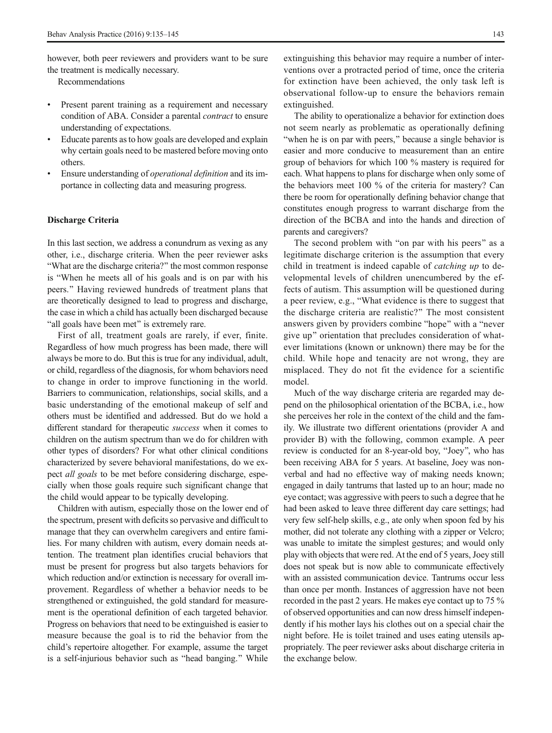however, both peer reviewers and providers want to be sure the treatment is medically necessary.

Recommendations

- Present parent training as a requirement and necessary condition of ABA. Consider a parental *contract* to ensure understanding of expectations.
- Educate parents as to how goals are developed and explain why certain goals need to be mastered before moving onto others.
- Ensure understanding of *operational definition* and its importance in collecting data and measuring progress.

#### Discharge Criteria

In this last section, we address a conundrum as vexing as any other, i.e., discharge criteria. When the peer reviewer asks "What are the discharge criteria?" the most common response is "When he meets all of his goals and is on par with his peers.^ Having reviewed hundreds of treatment plans that are theoretically designed to lead to progress and discharge, the case in which a child has actually been discharged because "all goals have been met" is extremely rare.

First of all, treatment goals are rarely, if ever, finite. Regardless of how much progress has been made, there will always be more to do. But this is true for any individual, adult, or child, regardless of the diagnosis, for whom behaviors need to change in order to improve functioning in the world. Barriers to communication, relationships, social skills, and a basic understanding of the emotional makeup of self and others must be identified and addressed. But do we hold a different standard for therapeutic success when it comes to children on the autism spectrum than we do for children with other types of disorders? For what other clinical conditions characterized by severe behavioral manifestations, do we expect all goals to be met before considering discharge, especially when those goals require such significant change that the child would appear to be typically developing.

Children with autism, especially those on the lower end of the spectrum, present with deficits so pervasive and difficult to manage that they can overwhelm caregivers and entire families. For many children with autism, every domain needs attention. The treatment plan identifies crucial behaviors that must be present for progress but also targets behaviors for which reduction and/or extinction is necessary for overall improvement. Regardless of whether a behavior needs to be strengthened or extinguished, the gold standard for measurement is the operational definition of each targeted behavior. Progress on behaviors that need to be extinguished is easier to measure because the goal is to rid the behavior from the child's repertoire altogether. For example, assume the target is a self-injurious behavior such as "head banging." While

extinguishing this behavior may require a number of interventions over a protracted period of time, once the criteria for extinction have been achieved, the only task left is observational follow-up to ensure the behaviors remain extinguished.

The ability to operationalize a behavior for extinction does not seem nearly as problematic as operationally defining "when he is on par with peers," because a single behavior is easier and more conducive to measurement than an entire group of behaviors for which 100 % mastery is required for each. What happens to plans for discharge when only some of the behaviors meet 100 % of the criteria for mastery? Can there be room for operationally defining behavior change that constitutes enough progress to warrant discharge from the direction of the BCBA and into the hands and direction of parents and caregivers?

The second problem with "on par with his peers" as a legitimate discharge criterion is the assumption that every child in treatment is indeed capable of catching up to developmental levels of children unencumbered by the effects of autism. This assumption will be questioned during a peer review, e.g., "What evidence is there to suggest that the discharge criteria are realistic?^ The most consistent answers given by providers combine "hope" with a "never give up" orientation that precludes consideration of whatever limitations (known or unknown) there may be for the child. While hope and tenacity are not wrong, they are misplaced. They do not fit the evidence for a scientific model.

Much of the way discharge criteria are regarded may depend on the philosophical orientation of the BCBA, i.e., how she perceives her role in the context of the child and the family. We illustrate two different orientations (provider A and provider B) with the following, common example. A peer review is conducted for an 8-year-old boy, "Joey", who has been receiving ABA for 5 years. At baseline, Joey was nonverbal and had no effective way of making needs known; engaged in daily tantrums that lasted up to an hour; made no eye contact; was aggressive with peers to such a degree that he had been asked to leave three different day care settings; had very few self-help skills, e.g., ate only when spoon fed by his mother, did not tolerate any clothing with a zipper or Velcro; was unable to imitate the simplest gestures; and would only play with objects that were red. At the end of 5 years, Joey still does not speak but is now able to communicate effectively with an assisted communication device. Tantrums occur less than once per month. Instances of aggression have not been recorded in the past 2 years. He makes eye contact up to 75 % of observed opportunities and can now dress himself independently if his mother lays his clothes out on a special chair the night before. He is toilet trained and uses eating utensils appropriately. The peer reviewer asks about discharge criteria in the exchange below.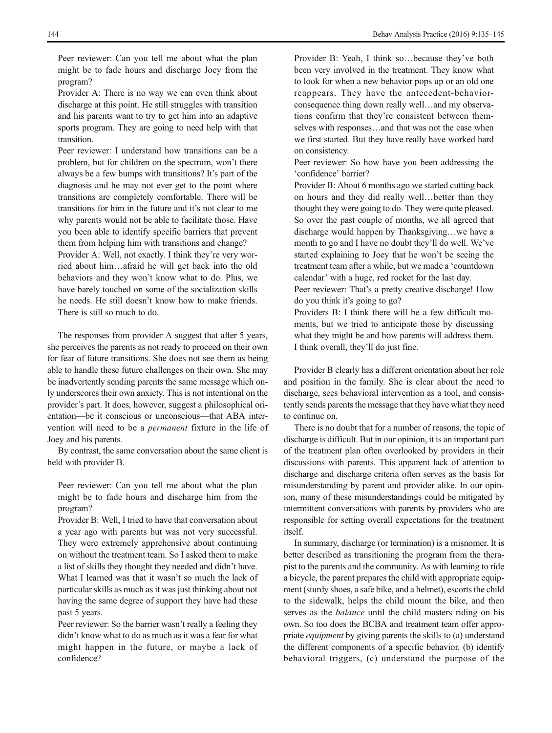Peer reviewer: Can you tell me about what the plan might be to fade hours and discharge Joey from the program?

Provider A: There is no way we can even think about discharge at this point. He still struggles with transition and his parents want to try to get him into an adaptive sports program. They are going to need help with that transition.

Peer reviewer: I understand how transitions can be a problem, but for children on the spectrum, won't there always be a few bumps with transitions? It's part of the diagnosis and he may not ever get to the point where transitions are completely comfortable. There will be transitions for him in the future and it's not clear to me why parents would not be able to facilitate those. Have you been able to identify specific barriers that prevent them from helping him with transitions and change?

Provider A: Well, not exactly. I think they're very worried about him…afraid he will get back into the old behaviors and they won't know what to do. Plus, we have barely touched on some of the socialization skills he needs. He still doesn't know how to make friends. There is still so much to do.

The responses from provider A suggest that after 5 years, she perceives the parents as not ready to proceed on their own for fear of future transitions. She does not see them as being able to handle these future challenges on their own. She may be inadvertently sending parents the same message which only underscores their own anxiety. This is not intentional on the provider's part. It does, however, suggest a philosophical orientation—be it conscious or unconscious—that ABA intervention will need to be a permanent fixture in the life of Joey and his parents.

By contrast, the same conversation about the same client is held with provider B.

Peer reviewer: Can you tell me about what the plan might be to fade hours and discharge him from the program?

Provider B: Well, I tried to have that conversation about a year ago with parents but was not very successful. They were extremely apprehensive about continuing on without the treatment team. So I asked them to make a list of skills they thought they needed and didn't have. What I learned was that it wasn't so much the lack of particular skills as much as it was just thinking about not having the same degree of support they have had these past 5 years.

Peer reviewer: So the barrier wasn't really a feeling they didn't know what to do as much as it was a fear for what might happen in the future, or maybe a lack of confidence?

Provider B: Yeah, I think so…because they've both been very involved in the treatment. They know what to look for when a new behavior pops up or an old one reappears. They have the antecedent-behaviorconsequence thing down really well…and my observations confirm that they're consistent between themselves with responses…and that was not the case when we first started. But they have really have worked hard on consistency.

Peer reviewer: So how have you been addressing the 'confidence' barrier?

Provider B: About 6 months ago we started cutting back on hours and they did really well…better than they thought they were going to do. They were quite pleased. So over the past couple of months, we all agreed that discharge would happen by Thanksgiving…we have a month to go and I have no doubt they'll do well. We've started explaining to Joey that he won't be seeing the treatment team after a while, but we made a 'countdown calendar' with a huge, red rocket for the last day.

Peer reviewer: That's a pretty creative discharge! How do you think it's going to go?

Providers B: I think there will be a few difficult moments, but we tried to anticipate those by discussing what they might be and how parents will address them. I think overall, they'll do just fine.

Provider B clearly has a different orientation about her role and position in the family. She is clear about the need to discharge, sees behavioral intervention as a tool, and consistently sends parents the message that they have what they need to continue on.

There is no doubt that for a number of reasons, the topic of discharge is difficult. But in our opinion, it is an important part of the treatment plan often overlooked by providers in their discussions with parents. This apparent lack of attention to discharge and discharge criteria often serves as the basis for misunderstanding by parent and provider alike. In our opinion, many of these misunderstandings could be mitigated by intermittent conversations with parents by providers who are responsible for setting overall expectations for the treatment itself.

In summary, discharge (or termination) is a misnomer. It is better described as transitioning the program from the therapist to the parents and the community. As with learning to ride a bicycle, the parent prepares the child with appropriate equipment (sturdy shoes, a safe bike, and a helmet), escorts the child to the sidewalk, helps the child mount the bike, and then serves as the balance until the child masters riding on his own. So too does the BCBA and treatment team offer appropriate equipment by giving parents the skills to (a) understand the different components of a specific behavior, (b) identify behavioral triggers, (c) understand the purpose of the